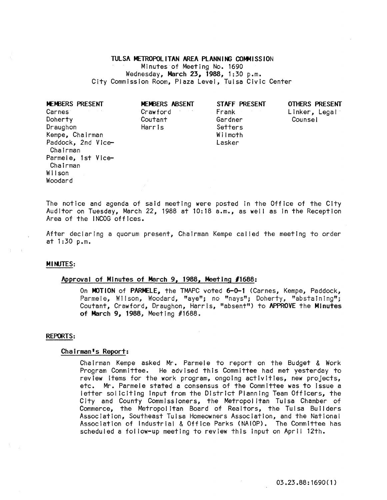# TULSA METROPOLITAN AREA PLANNING COMMISSION

Minutes of Meeting No. 1690 Wednesday, March 23, 1988, 1:30 p.m. City Commission Room, Plaza Level, Tulsa Civic Center

| MEMBERS PRESENT                | MEMBERS ABSENT | STAFF PRESENT | <b>OTHERS P</b> |
|--------------------------------|----------------|---------------|-----------------|
| Carnes <sup>-</sup>            | Crawford       | Frank         | Linker,         |
| Doherty                        | Coutant        | Gardner       | Counsel         |
| Draughon                       | Harris         | Setters       |                 |
| Kempe, Chairman                |                | Wilmoth       |                 |
| Paddock, 2nd Vice-<br>Chairman |                | Lasker        |                 |
| Parmele, 1st Vice-             |                |               |                 |
| Chairman                       |                |               |                 |
| Wilson                         |                |               |                 |
| Woodard                        |                |               |                 |
|                                |                |               |                 |

| MEMBERS ABSENT |  |
|----------------|--|
| Crawford       |  |
| Coutant        |  |
| Harris         |  |
|                |  |

OTHERS PRESENT Linker, Legal<br>Counsel

The notice and agenda of said meeting were posted in the Office of the City Auditor on Tuesday, March 22, 1988 at  $10:18$  a.m., as well as in the Reception Area of the INCOG offices.

After declaring a quorum present, Chairman Kempe called the meeting to order at 1:30 p.m.

## **MINUTES:**

## ~Rroval of Minutes of March 9, 1988, Meeting *11688:*

On MOTION of PARMELE, the TMAPC voted 6-0-1 (Carnes, Kempe, Paddock, Parmele, Wilson, Woodard. "aye"; no "nays"; Doherty, "abstaining"; Coutant, Crawford, Draughon, Harris, "absent") to APPROVE the Minutes of March 9, 1988, Meeting #1688.

#### REPORTS:

#### Chairman's Report:

Chairman Kempe asked Mr. Parmele to report on the Budget & Work Program Committee. He advIsed this Committee had met yesterday to review Items for the work program, ongoing activities, new projects, etc. Mr. Parmele stated a consensus of the Committee was to Issue a letter soliciting Input from the District Planning Team Officers, the City and County Commissioners, the Metropolitan Tulsa Chamber of Commerce, the Metropolitan Board of Realtors, the Tulsa Builders Association, Southeast Tulsa Homeowners Association, and the National Association of Industrial & Office Parks (NAIOP). The Committee has scheduled a fol low-up meeting to review this input on April 12th.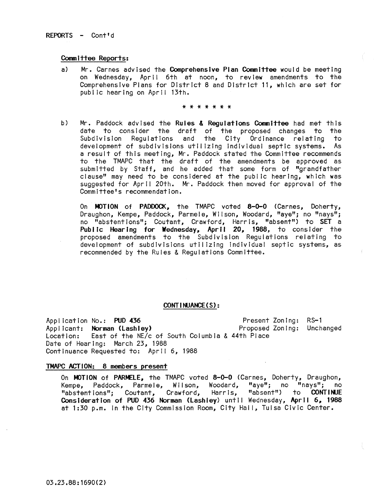#### Committee Reports:

a) Mr. Carnes advised the Comprehensive Plan Committee would be meeting on Wednesday, April 6th at noon, to review amendments to the Comprehensive Plans for District 8 and District 11, which are set for public hearing on April 13th.

\* \* \* \* \* \* \*

b) Mr. Paddock advised the Rules & Regulations Committee had met this date to consider the draft of the proposed changes to the Subdivision Regulations and the City Ordinance relating to development of subdivisions util izlng Individual septic systems. As a result of this meeting, Mr. Paddock stated the Committee recommends to the TMAPC that the draft of the amendments be approved as submitted by Staff, and he added that some form of "grandfather clause" may need to be considered at the public hearing, which was suggested for April 20th. Mr. Paddock then moved for approval of the Committee's recommendation.

On MOTION of PADDOCK, the TMAPC voted 8-0-0 (Carnes, Doherty, Draughon, Kempe, Paddock, Parmele, Wilson, Woodard, "aye"; no "nays"; no "abstentions"; Coutant, Crawford, Harris, "absent") to SET a Public Hearing for Wednesday, April 20, 1988, to consider the proposed amendments to the Subdivision Regulations relating to development of subdivisions utilizing individual septic systems, as recommended by the Rules & Regulations Committee.

### CONT I NUANCE (S):

Application No.: PUD 436 AppJ Icant: Norman (Lashley) Location: East of the NE/c of South Columbia & 44th Place Date of Hearing: March 23, 1988 Continuance Requested to: April 6, 1988 Present Zoning: RS-l Proposed Zoning: Unchanged

## TMAPC ACTION: 8 members present

On MOTION of PARMELE, the TMAPC voted 8-0-0 (Carnes, Doherty, Draughon, Kempe, Paddock, Parmele, Wilson, Woodard, "aye"; no "nays"; no<br>"abstentions": Coutant, Crawford, Harris, "absent") to **CONTINUE** "abstentions"; Coutant, Crawford, Harris, "absent") to CONTINJE Consideration of PUD 436 Norman (Lashley) until Wednesday, April 6, 1988 at 1:30 p.m. in the City Commission Room, City Hall, Tulsa Civic Center.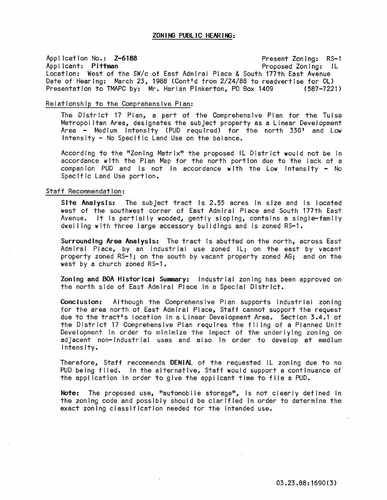# Application No.: Z-6188 Present Zoning: RS-l Proposed Zoning: IL Location: West of the SW/c of East Admiral Place & South 177th East Avenue Date of Hearing: March 23, 1988 (Cont'd from 2/24/88 to readvertise for OL)<br>Presentation to TMAPC by: Mr. Harlan Pinkerton. PO Box 1409 (587-7221) Presentation to TMAPC by: Mr. Harlan Pinkerton, PO Box 1409

## Relationship to the Comprehensive Plan:

The District 17 Plan, a part of the Comprehensive Plan for the Tulsa Metropolitan Area, designates the subject property as a Linear Development Area - Medium Intensity (PUD required) for the north 330' and Low Intensity - No Specific Land Use on the balance.

According to the "Zoning Matrix" the proposed IL District would not be in accordance with the Plan Map for the north portion due to the lack of a companion PUD and is not in accordance with the Low Intensity  $-$  No Specific Land Use portion.

#### Staff Recommendation:

Site Analysis: The subject tract is 2.55 acres in size and is located west of the southwest corner of East Admiral Place and South 177th East Avenue. It Is partially wooded, gently sloping, contains a single-family dwelling with three large accessory buildings and is zoned RS-1.

Surrounding Area Analysis: The tract Is abutted on the north, across East Admiral Place, by an industrial use zoned IL; on the east by vacant property zoned RS-li on the south by vacant property zoned AG; and on the west by a church zoned RS-1.

Zoning and BOA Historical Summary: Industrial zoning has been approved on the north side of East Admiral Place In a Special District.

Conclusion: Although the Comprehensive Plan supports industrial zoning for the area north of East Admiral Place, Staff cannot support the request due to the tract's location In a Linear Development Area. Section 3.4.1 of the District 17 Comprehensive Plan requires the filing of a Planned Unit Development In order to minimize the Impact of the underlying zoning on adjacent non-Industrial uses and also in order to develop at medium Intensity.

Therefore, Staff recommends DENIAL of the requested IL zoning due to no PUD being filed. In the alternative, Staff would support a continuance of the application In order to give the applicant time to file a PUD.

Note: The proposed use, "automobile storage", is not clearly defined in the zoning code and possibly should be clarified In order to determine the exact zoning classification needed for the Intended use.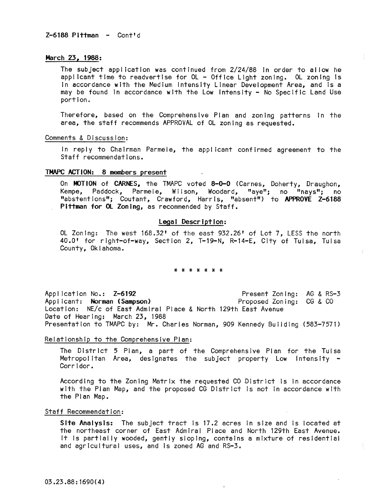## March 23, 1988:

The subject application was continued from 2/24/88 In order to al low he applicant time to readvertise for OL - Office Light zoning. OL zoning is In accordance with the Medium Intensity Linear Development Area, and Is a may be found In accordance with the Low Intensity - No Specific Land Use portion.

Therefore, based on the Comprehensive Plan and zoning patterns in the area, the staff recommends APPROVAL of OL zoning as requested.

## Comments & Discussion:

In reply to Chairman Parmele, the applicant confirmed agreement to the Staff recommendations.

#### TMAPC ACTION: 8 members present

On MOTION of CARNES, the TMAPC voted 8-0-0 (Carnes, Doherty, Draughon, Kempe, Paddock, Parmele, Wilson, Woodard, "aye"; no "nays"; no "abstentions"; Coutant, Crawford, Harris, "absent") to APPROVE Z-6188 Pittman for OL Zoning, as recommended by Staff.

## legal Description:

OL Zoning: The west 168.32' of the east 932.26' of Lot 7, LESS the north 40.0' for right-of-way, Section 2, T-19-N, R-14-E, City of Tulsa, Tulsa County, Oklahoma.

## \* \* \* \* \* \* \*

Application No.: Z-6192 Applicant: Norman (Sampson) Location: NE/c of East Admiral Place & North 129th East Avenue Date of Hearing: March 23, 1988 Presentation to TMAPC by: Mr. Charles Norman, 909 Kennedy Building (583-7571) Present Zoning: AG & RS-3 Proposed Zoning: CG & CO

#### Relationship to the Comprehensive Plan:

The District 5 Plan, a part of the Comprehensive Plan for the Tulsa Metropolitan Area, designates the subject property Low Intensity -<br>Corridor.

According to the Zoning Matrix the requested CO District is in accordance with the Plan Map, and the proposed CG District Is not In accordance with the Plan Map.

## Staff Recommendation:

Site Analysis: The subject tract is 17.2 acres in size and is located at the northeast corner of East Admiral Place and North 129th East Avenue. It Is partially wooded, gently sloping, contains a mixture of residential and agricultural uses, and Is zoned AG and RS-3.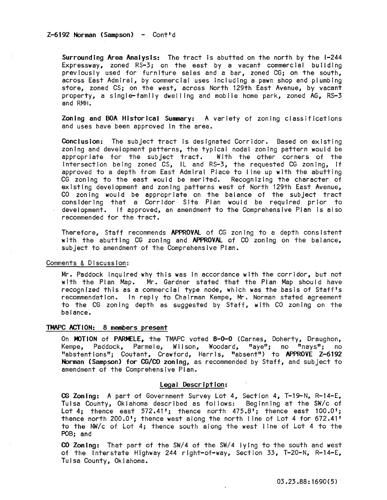$Z-6192$  Norman (Sampson) - Cont'd

Surrounding Area Analysis: The tract is abutted on the north by the 1-244 Expressway, zoned RS-3; on the east by a vacant commercial building previously used for furniture sales and a bar, zoned CG; on the south, across East Admiral, by commercial uses Including a pawn shop and plumbing store, zoned CS; on the west, across North 129th East Avenue, by vacant property, a single-family dwelling and mobile home park, zoned AG, RS-3 and RMH.

Zoning and BOA Historical Summary: A variety of zoning classifications and uses have been approved In the area.

COnclusion: The subject tract Is designated Corridor. Based on existing zoning and development patterns, the typical nodal zoning pattern would be appropriate for the subject tract. With the other corners of the Intersection being zoned CS, IL and RS-3, the requested CG zoning, If approved to a depth from East Admiral Place to I ine up with the abutting CG zoning to the east would be merited. Recognizing the character of existing development and zoning patterns west of North 129th East Avenue, CO zoning would be appropriate on the balance of the subject tract considering that a Corridor Site Plan would be required prior to development. If approved, an amendment to the Comprehensive Plan Is also recommended for the tract.

Therefore, Staff recommends APPROVAL of CG zoning to a depth consistent with the abutting CG zoning and APPROVAL of CO zoning on the balance, subject to amendment of the Comprehensive Plan.

### Comments & Discussion:

Mr. Paddock Inquired why this was In accordance with the corridor, but not with the Plan Map. Mr. Gardner stated that the Plan Map should have recognized this as a commercial type node, which was the basis of Staff's recommendation. In reply to Chairman Kempe, Mr. Norman stated agreement to the CG zoning depth as suggested by Staff, with CO zoning on the balance.

### TMAPC ACTION: 8 members present

On MOTION of PARMELE, the TMAPC voted 8-0-0 (Carnes, Doherty, Draughon, Kempe, Paddock, Parmele, Wilson, Woodard, "aye"; no "nays"; no "abstentions"; Coutant, Crawford, Harris, "absent") to APPROVE Z-6192 Norman (Sampson) for CG/CO zoning, as recommended by Staff, and subject to amendment of the Comprehensive Plan.

### Legal Description:

CG Zoning: A part of Government Survey Lot 4, Section 4, T-19-N, R-14-E, Tulsa County, Oklahoma described as follows: Beginning at the SW/c of Lot 4; thence east 572.41'; thence north 475.8'; thence east 100.0'; thence north 200.0'; thence west along the north I ine of Lot 4 for 672.41' to the NW/c of Lot 4; thence south along the west line of Lot 4 to the POB; and

CO Zoning: That part of the SW/4 of the *SW/4* lying to the south and west of the Interstate Highway 244 right-of-way, Section 33, T-20-N, R-14-E, Tulsa County, Oklahoma.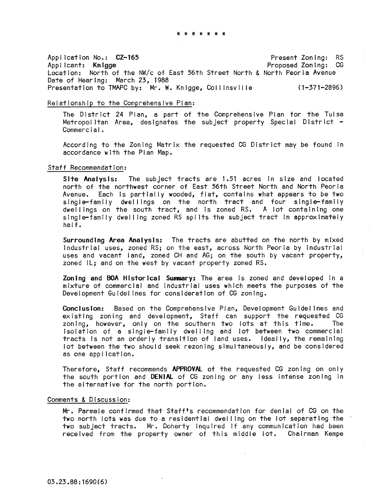\* \* \* \* \* \* \*

Appl icatlon No.: CZ-165 Applicant: Knigge Present Zoning: RS Proposed Zoning: CG Location: North of the NW/c of East 56th Street North & North Peoria Avenue Date of Hearing: March 23, 1988 Presentation to TMAPC by: Mr. W. Knigge, Collinsville (1-371-2896)

## Relationship to the Comprehensive Plan:

The District 24 Plan, a part of the Comprehensive Plan for the Tulsa Metropolitan Area, designates the subject property Special District -<br>Commercial.

According to the Zoning Matrix the requested CG District may be found In accordance with the Plan Map.

### Staff Recommendation:

Site Analysis: The subject tracts are 1.51 acres In size and located north of the northwest corner of East 56th Street North and North Peoria Avenue. Each is partially wooded, flat, contains what appears to be two single-family dwellings on the north tract and four single-family dwellings on the south tract, and is zoned RS. A lot containing one single-family dwel ling zoned RS spl Its the subject tract in approximately half.

Surrounding Area Analysis: The tracts are abutted on the north by mixed Industrial uses, zoned RSj on the east, across North Peoria by Industrial uses and vacant land, zoned CH and AG; on the south by vacant property, zoned lL; and on the west by vacant property zoned RS.

Zoning and BOA Historicai Summary: The area is zoned and developed In a mixture of commercial and Industrial uses which meets the purposes of the Development Guidelines for consideration of CG zoning.

Conclusion: Based on the Comprehensive Plan, Development Guidelines and existing zoning and development, Staff can support the requested CG<br>zoning, however, only on the southern two lots at this time. The zoning, however, only on the southern two lots at this time. Isolation of a single-family dwelling and lot between two commercial tracts Is not an orderly transition of land uses. Ideally, the remaining lot between the two should seek rezoning simultaneously, and be considered as one appl icatlon.

Therefore, Staff recommends APPROVAL of the requested CG zoning on only the south portion and DENiAl of CG zoning or any less intense zoning in the alternative for the north portion.

## Comments & Discussion:

Mr. Parmele confirmed that Staff's recommendation for denial of CG on the two north lots was due to a residential dwel ling on the lot separating the two subject tracts. Mr. Doherty inquired if any communication had been received from the property owner of this middle lot. Chairman Kempe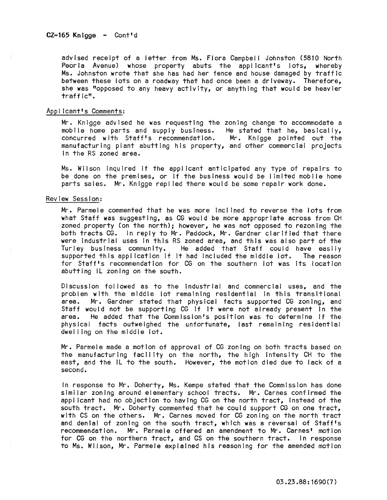advised receipt of a letter from Ms. Flora Campbell Johnston (5810 North Peoria Avenue) whose property abuts the applicant's lots, whereby Ms. Johnston wrote that she has had her fence and house damaged by traffic between these lots on a roadway that had once been a driveway. Therefore, she was "opposed to any heavy activity, or anything that would be heavier traffic".

#### Applicant's Comments:

Mr. Knigge advised he was requesting the zoning change to accommodate a mobile home parts and supply business. He stated that he, basically, concurred with Staff's recommendation. Mr. Knigge pointed out the manufacturing plant abutting his property, and other commercial projects In the RS zoned area.

Ms. Wilson inquired if the applicant anticipated any type of repairs to be done on the premises, or If the business would be limited mobile home parts sales. Mr. Knigge repl led there would be some repair work done.

# Review Session:

Mr. Parmele commented that he was more Inclined to reverse the lots from what Staff was suggesting, as CG would be more appropriate across from CH zoned property (on the north); however, he was not opposed to rezoning the both tracts CG. in reply to Mr. Paddock, Mr. Gardner clarified that there were industrial uses in this RS zoned area, and this was also part of the<br>Turley business community. He added that Staff could have easily He added that Staff could have easily. supported this application if it had included the middle lot. The reason for Staff's recommendation for CG on the southern lot was its location abutting IL zoning on the south.

Discussion followed as to the Industrial and commercial uses, and the problem with the middle lot remaining residential In this transitional area. Mr. Gardner stated that physical facts supported CG zoning, and Staff would not be supporting CG if it were not already present in the<br>area. He added that the Commission's position was to determine if the He added that the Commission's position was to determine if the physical facts outweighed the unfortunate, last remaining residential dwelling on the middle lot.

Mr. Parmele made a motion of approval of CG zoning on both tracts based on the manufacturing facility on the north, the high Intensity CH to the east, and the IL to the south. However, the motion died due to lack of a second.

In response to Mr. Doherty, Ms. Kempe stated that the Commission has done similar zoning around elementary school tracts. Mr. Carnes confirmed the applicant had no objection to having CG on the north tract, Instead of the south tract. Mr. Doherty commented that he could support CG on one tract, with CS on the others. Mr. Carnes moved for CG zoning on the north tract and denial of zoning on the south tract, which was a reversal of Staff's recommendation. Mr. Parmele offered an amendment to Mr. Carnes' motion for CG on the northern tract, and CS on the southern tract. In response to Ms. Wilson, Mr. Parmele explained his reasoning for the amended motion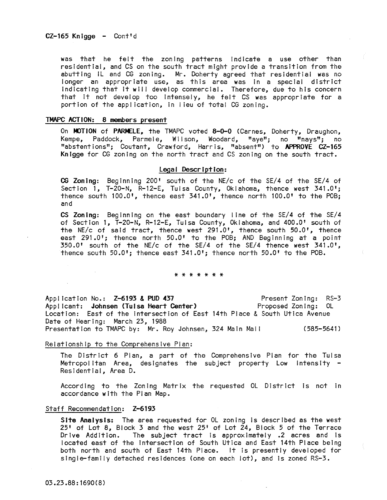was that he felt the zoning patterns Indicate a use other than residential, and CS on the south tract might provide a transition from the abutting IL and CG zoning. Mr. Doherty agreed that residential was no longer an appropriate use, as this area was in a special district indicating that it will develop commercial. Therefore, due to his concern that It not develop too Intensely, he felt CS was appropriate for a portion of the application, in lieu of total CG zoning.

#### TMAPC ACTION: 8 members present

On MOTION of PARMELE, the TMAPC voted 8-0-0 (Carnes, Doherty, Draughon, Kempe, Paddock, Parmele, WIlson, Woodard, "aye"; no "nays"; no "abstentions"; Coutant, Crawford, Harris, "absent") to APPROVE CZ-165 Knigge for CG zoning on the north tract and CS zoning on the south tract.

#### Legal Description:

CG Zoning: Beginning 200' south of the NE/c of the SE/4 of the SE/4 of Section 1, T-20-N, R-12-E, Tulsa County, Oklahoma, thence west 341.0'; thence south 100.0', thence east 341.0', thence north 100.0' to the POB; and

CS Zoning: Beginning on the east boundary line of the SE/4 of the SE/4 of Section 1, T-20-N, R-12-E, Tulsa County, Oklahoma, and 400.0' south of the NE/c of said tract, thence west 291.0', thence south 50.0', thence east 291.0'; thence north 50.0' to the POB; AND Beginning at a point  $350.0'$  south of the NE/c of the SE/4 of the SE/4 thence west  $341.0'$ , thence south 50.0'; thence east 341.0'; thence north 50.0' to the POB.

#### \* \* \* \* \* \* \*

Appl lcatlon No.: Z-6193 & PUD 437 Applicant: Johnsen (Tulsa Heart Center) Location: East of the Intersection of East 14th Place & South Utica Avenue Date of Hearing: March 23, 1988 Presentation to TMAPC by: Mr. Roy Johnsen, 324 Main Mall (585-5641) Present Zoning: RS-3 Proposed Zoning: OL

#### Relationship to the Comprehensive Plan:

The District 6 Plan, a part of the Comprehensive Plan for the Tulsa Metropolitan Area, designates the subject property Low Intensity -<br>Residential, Area D.

According to the Zoning Matrix the requested OL District Is not In accordance with the Plan Map.

#### Staff Recommendation: Z-6193

Site Analysis: The area requested for OL zoning is described as the west 25' of Lot 8, Block 3 and the west 25' of Lot 24, Block 5 of the Terrace Drive Addition. The subject tract is approximately .2 acres and Is located east of the Intersection of South Utica and East 14th Place being both north and south of East 14th Place. It is presently developed for single-family detached residences (one on each lot), and Is zoned RS-3.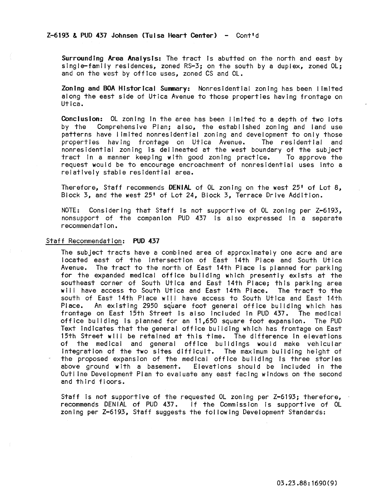Surrounding Area Analysis: The tract Is abutted on the north and east by single-family residences, zoned RS-3; on the south by a duplex, zoned Ol; and on the west by office uses, zoned CS and OL.

Zoning and BOA Historical Summary: Nonresidential zoning has been limited along the east side of Utica Avenue to those properties having frontage on Utica.

Conclusion: OL zoning in the area has been limited to a depth of two lots by the Comprehensive Plan; also, the established zoning and land use patterns have limited nonresidential zoning and development to only those<br>properties having frontage on Utica Avenue. The residential and properties having frontage on Utica Avenue. nonresidential zoning is delineated at the west boundary of the subject<br>tract in a manner keeping with good zoning practice. To approve the tract in a manner keeping with good zoning practice. request would be to encourage encroachment of nonresidential uses Into a relatively stable residential area.

Therefore, Staff recommends DENIAL of Ol zoning on the west 25' of lot 8, Block 3, and the west 25' of lot 24, Block 3, Terrace Drive Addition.

NOTE: Considering that Staff Is not supportive of Ol zoning per Z-6193, nonsupport of the companion PUD 437 is also expressed in a separate recommendation.

#### Staff Recommendation: PUD 437

The subject tracts have a combined area of approximately one acre and are located east of the intersection of East 14th Place and South Utica Avenue. The tract to the north of East 14th Place Is planned for parking for the expanded medical office building which presently exists at the southeast corner of South Utica and East 14th Place; this parking area will have access to South Utica and East 14th Place. The tract to the south of East 14th Place will have access to South Utica and East 14th Place. An existing 2950 square foot general office building which has frontage on East 15th Street Is also included in PUD 437. The medical office building Is planned for an 11,650 square foot expansion. The PUD Text Indicates that the general office building which has frontage on East 15th Street will be retained at this time. The difference In elevations of the medical and general office buildings would make vehicular Integration of the two sites difficult. The maximum building height of the proposed expansion of the medical office building is three stories above ground with a basement. Elevations should be Included In the Outline Development Plan to evaluate any east facing windows on the second and third floors.

Staff Is not supportive of the requested Ol zoning per Z-6193; therefore, recommends DENIAL of PUD 437. If the Commission Is supportive of OL zoning per Z-6193, Staff suggests the fol lowing Development Standards: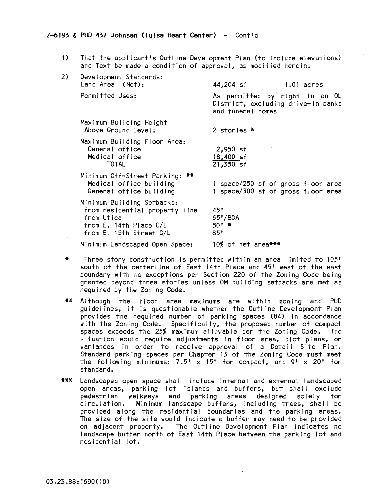## $Z-6193$  & PUD 437 Johnsen (Tulsa Heart Center) - Cont'd

1) That the applicant's Outline Development Plan (to Include elevations) and Text be made a condition of approval, as modified herein.

| 2) | Development Standards:<br>Land Area (Net):                                                                                      | 44,204 sf<br>1.01 acres                                                                   |
|----|---------------------------------------------------------------------------------------------------------------------------------|-------------------------------------------------------------------------------------------|
|    | Permitted Uses:                                                                                                                 | As permitted by right in an OL<br>District, excluding drive-in banks<br>and funeral homes |
|    | Maximum Building Height<br>Above Ground Level:                                                                                  | 2 stories $*$                                                                             |
|    | Maximum Building Floor Area:<br>General office<br>Medical office<br><b>TOTAL</b>                                                | $2,950$ sf<br>18,400 sf<br>21,350 sf                                                      |
|    | Minimum Off-Street Parking: **<br>Medical office building<br>General office building                                            | 1 space/250 sf of gross floor area<br>1 space/300 sf of gross floor area                  |
|    | Minimum Building Setbacks:<br>from residential property line<br>from Utica<br>from E. 14th Place C/L<br>from E. 15th Street C/L | 45'<br>65'/B0A<br>50' *<br>85'                                                            |
|    | Minimum Landscaped Open Space:                                                                                                  | 10% of net area***                                                                        |

- \* Three story construction Is permitted within an area limited to 105' south of the centerline of East 14th Place and 45' west of the east boundary with no exceptions per Section 220 of the Zoning Code being granted beyond three stories unless OM building setbacks are met as required by the Zoning Code.
- \*\* Although the floor area maximums are within zoning and PUD guidelines, It Is questionable whether the Outline Development Plan provides the required number of parking spaces (84) in accordance with the Zoning Code. Specifically, the proposed number of compact spaces exceeds the 25% maximum allowable per the Zoning Code. The situation would require adjustments In floor area, plot plans, or variances In order to receive approval of a Detail Site Plan. Standard parking spaces per Chapter 13 of the Zoning Code must meet the following minimums:  $7.5' \times 15'$  for compact, and  $9' \times 20'$  for standard.
- **\*\*\*** landscaped open space shal I Include Internal and external landscaped open areas, parking lot islands and buffers, but shall exclude pedestrian walkways and parking areas designed solely for Minimum landscape buffers, including trees, shall be provided along the residential boundaries and the parking areas. The size of the site would Indicate a buffer may need to be provided on adjacent property. The Outline Development Plan indicates no landscape buffer north of East 14th Place between the parking lot and residential lot.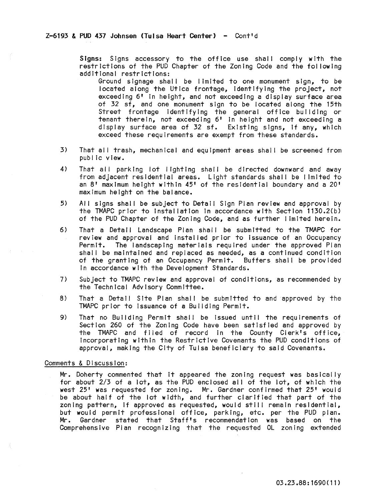Signs: Signs accessory to the office use shall comply with the restrictions of the PUD Chapter of the Zoning Code and the fol lowing additional restrictions:

- Ground slgnage shall be limited to one monument sign, to be located along the Utica frontage, Identifying the project, not exceeding 6' In height, and not exceeding a display surface area of 32 sf, and one monument sign to be located along the 15th Street frontage Identifying the general office building or tenant therein, not exceeding 6' In height and not exceeding a display surface area of 32 sf. Existing signs, If any, which exceed these requirements are exempt from these standards.
- 3) That all trash, mechanical and equipment areas shall be screened from public view.
- 4) That all parking lot lighting shall be directed downward and away from adjacent residential areas. Light standards shall be limited to an 8' maximum height within 45' of the residential boundary and a 20' maximum height on the balance.
- 5) All signs shall be subject to Detail Sign Plan review and approval by the TMAPC prior to Installation In accordance with Section 1130.2(b) of the PUD Chapter of the Zoning Code, and as further limited herein.
- 6) That a Detail Landscape Plan shall be submitted to the TMAPC for review and approval and installed prior to Issuance of an Occupancy Permit. The landscaping materials required under the approved Plan shall be maintained and replaced as needed, as a continued condition of the granting of an Occupancy Permit. Buffers shall be provided In accordance with the Development Standards.
- 7i Subject to TMAPC review and approval of conditions, as recommended by the Technical Advisory Committee.
- 8) That a Detail Site Plan shall be submitted to and approved by the TMAPC prior to Issuance of a Building Permit.
- 9) That no Building Permit shall be issued until the requirements of Section 260 of the Zoning Code have been satisfied and approved by the TMAPC and flied of record In the County Clerk's office, Incorporating within the Restrictive Covenants the PUD conditions of approval, making the City of Tulsa beneficiary to said Covenants.

## Comments & Discussion:

Mr. Doherty commented that It appeared the zoning request was basically for about 2/3 of a lot, as the PUD enclosed all of the lot, of which the west 25' was requested for zoning. Mr. Gardner confirmed that 25' would be about half of the lot width, and further clarified that part of the zoning pattern, if approved as requested, would still remain residential, but would permit professional office, parking, etc. per the PUD plan. Mr. Gardner stated that Staff's recommendation was based on the Comprehensive Pian recognizing that the requested OL zoning extended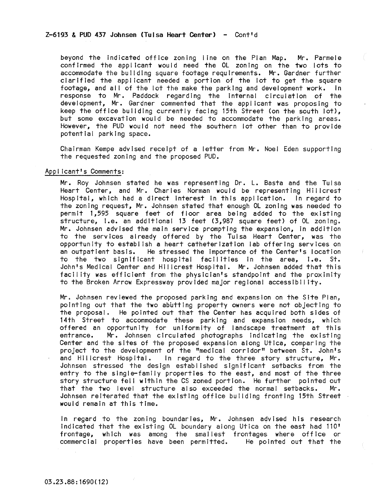beyond the indicated office zoning line on the Plan Map. Mr. Parmele confirmed the applicant would need the OL zoning on the two lots to accommodate the building square footage requirements. Mr. Gardner further clarified the applicant needed a portion of the lot to get the square footage, and all of the lot the make the parking and development work. In response to Mr. Paddock regarding the Internal circulation of the development, Mr. Gardner commented that the applicant was proposing to keep the office building currently facing 15th Street (on the south lot), but some excavation would be needed to accommodate the parking areas. However, the PUD would not need the southern lot other than to provide potential parking space.

Chairman Kempe advised receipt of a letter from Mr. Noel Eden supporting the requested zoning and the proposed PUD.

#### Appl icant's Comments:

Mr. Roy Johnsen stated he was representing Dr. L. Basta and the Tulsa Heart Center, and Mr. Charles Norman would be representing Hillcrest Hospital, which had a direct Interest in this application. In regard to the zoning request, Mr. Johnsen stated that enough OL zoning was needed to permit 1,595 square feet of floor area being added to the existing structure, I.e. an additional 13 feet (3,987 square feet) of OL zonIng. Mr. Johnsen advised the main service prompting the expansion, In addition to the services already offered by the Tulsa Heart Center, was the opportunity to establ Ish a heart catheterization lab offering services on an outpatient basis. He stressed the Importance of the Center's location to the two significant hospital facilities In the area, i.e. St. John's Medical Center and Hillcrest Hospital. Mr. Johnsen added that this facility was efficient from the physician's standpoint and the proximity to the Broken Arrow Expressway provided major regional accessibility.

Mr. Johnsen reviewed the proposed parking and expansion on the Site Plan, pointing out that the two abutting property owners were not objecting to the proposal. He pointed out that the Center has acquired both sides of 14th Street to accommodate these parking and expansion needs, which offered an opportunity for uniformity of landscape treatment at this entrance. Mr. Johnsen circulated photographs Indicating the existing Center and the sites of the proposed expansion along Utica, comparing the project to the development of the "medical corridor" between St. John's<br>and Hillcrest Hospital. In regard to the three story structure, Mr. In regard to the three story structure, Mr. Johnsen stressed the design established significant setbacks from the entry to the single-family properties to the east, and most of the three story structure fell within the CS zoned portion. He further pointed out that the two level structure also exceeded the normal setbacks. Mr. Johnsen reiterated that the existing office building fronting 15th Street would remain at this time.

In regard to the zoning boundaries, Mr. Johnsen advised his research Indicated that the existing OL boundary along Utica on the east had 110' frontage, which was among the smal lest frontages where office or commercial properties have been permitted. He pointed out that the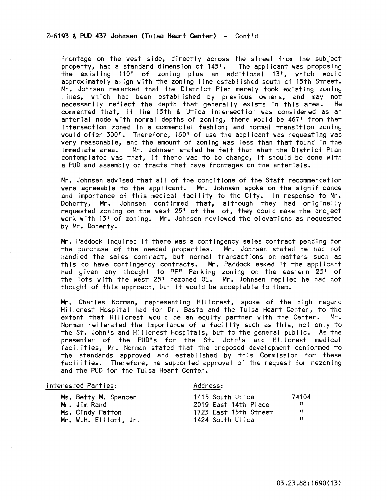## $Z-6193$  & PUD 437 Johnsen (Tulsa Heart Center) - Cont'd

frontage on the west side, directly across the street from the subject property, had a standard dimension of 145'. The appl icant was proposing the existing 110' of zoning plus an additional 13', which would approximately align with the zoning line established south of 15th Street. Mr. Johnsen remarked that the District Plan merely took existing zoning lines, which had been established by previous owners, and may not necessarily reflect the depth that generally exists in this area. He necessarily reflect the depth that generally exists in this area. commented that, if the 15th & Utica Intersection was considered as an arterial node with normal depths of zoning, there would be 467' from that Intersection zoned In a commercial fashion; and normal transition zoning would offer 300'. Therefore, 160' of use the applicant was requesting was very reasonable, and the amount of zoning was less than that found in the immediate area. Mr. Johnsen stated he felt that what the District Plan Mr. Johnsen stated he felt that what the District Plan contemplated was that, If there was to be change, It should be done with a PUD and assembly of tracts that have frontages on the arterials.

Mr. Johnsen advised that all of the conditions of the Staff recommendation were agreeable to the applicant. Mr. Johnsen spoke on the significance and Importance of this medical facility to the City. In response to Mr. Doherty, Mr. Johnsen confirmed that, although they had originally requested zoning on the west 25' of the lot, they could make the project work with 13' of zoning. Mr. Johnsen reviewed the elevations as requested by Mr. Doherty.

Mr. Paddock inquired If there was a contingency sales contract pending for the purchase of the needed properties. Mr. Johnsen stated he had not handled the sales contract, but normal transactions on matters such as this do have contingency contracts. Mr. Paddock asked if the applicant had given any thought to "P" Parking zoning on the eastern 25' of the lots with the west 25' rezoned OL. Mr. Johnsen replied he had not thought of this approach, but It would be acceptable to them.

Mr. Charles Norman, representing Hillcrest, spoke of the high regard Hillcrest Hospital had for Dr. Basta and the Tulsa Heart Center, to the extent that Hillcrest would be an equity partner with the Center. Mr. extent that Hillcrest would be an equity partner with the Center. Norman reiterated the importance of a facility such as this, not only to the St. John's and Hillcrest Hospitals, but to the general publ Ie. As the presenter of the PUD's for the St. John's and Hillcrest medical facilities, Mr. Norman stated that the proposed development conformed to the standards approved and established by this Commission for these facilities. Therefore, he supported approval of the request for rezoning and the PUD for the Tulsa Heart Center.

| Address:                   |
|----------------------------|
| 1415 South Utica<br>74104  |
| Ħ<br>2019 East 14th Place  |
| Ħ<br>1723 East 15th Street |
| n<br>1424 South Utica      |
|                            |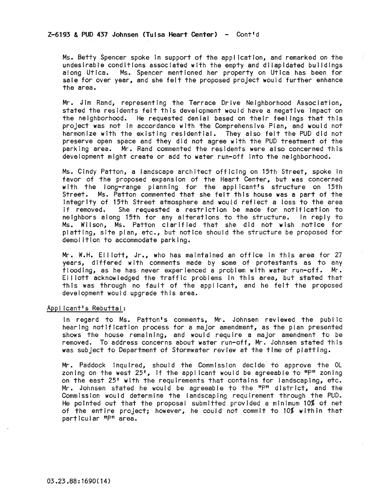## $Z-6193$  & PUD 437 Johnsen (Tulsa Heart Center) - Cont'd

Ms. Betty Spencer spoke In support of the application, and remarked on the undesirable conditions associated with the empty and dilapidated buildings along Utica. Ms. Spencer mentioned her property on Utica has been for sale for over year, and she felt the proposed project would further enhance the area.

Mr. Jim Rand, representing the Terrace Drive Neighborhood Association, stated the residents felt this development would have a negative Impact on the neighborhood. He requested denial based on their feel ings that this project was not in accordance with the Comprehensive Plan, and would not harmonize with the existing residential. They also felt the PUD did not preserve open space and they did not agree with the PUD treatment of the parking area. Mr. Rand commented the residents were also concerned this development might create or add to water run-off Into the neighborhood.

Ms. Cindy Patton, a landscape architect off Icing on 15th Street, spoke In favor of the proposed expansion of the Heart Center, but was concerned with the long-range planning for the applicant's structure on 15th Street. Ms. Patton commented that she felt this house was a part of the Integrity of 15th Street atmosphere and would reflect a 1055 to the area She requested a restriction be made for notification to neighbors along 15th for any alterations to the structure. In reply to Ms. Wilson, Ms. Patton clarified that she did not wish notice for platting, site plan, etc., but notice should the structure be proposed for demolition to accommodate parking.

Mr. W.H. EI I lott, Jr., who has maintained an office In this area for 27 years, differed with comments made by some of protestants as to any flooding, as he has never experienced a problem with water run-off. Mr. Elliott acknowledged the traffic problems In this area, but stated that this was through no fault of the applicant, and he felt the proposed development would upgrade this area.

### Applicant's Rebuttal:

In regard to Ms. Patton's comments, Mr. Johnsen reviewed the public hearing notification process for a major amendment, as the plan presented shows the house remaining, and would require a major amendment to be removed. To address concerns about water run-off, Mr. Johnsen stated this was subject to Department of Stormwater review at the time of platting.

Mr. Paddock Inquired, should the Commission decide· to approve the OL zoning on the west  $25$ ', if the applicant would be agreeable to "P" zoning on the east 25' with the requirements that contains for landscaping, etc. Mr. Johnsen stated he would be agreeable to the "P" district, and the Commission would determine the landscaping requirement through the PUD. He pointed out that the proposal submitted provided a minimum 10% of net of the entire project; however, he could not commit to 10% within that particular "P" area.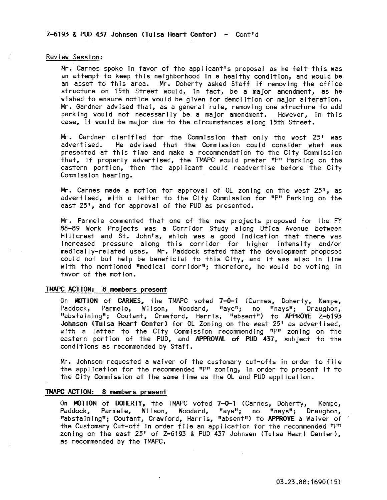#### Review Session:

Mr. Carnes spoke In favor of the applicant's proposal as he felt this was an attempt to keep this neighborhood In a healthy condition, and would be an asset to this area. Mr. Doherty asked Staff if removing the office structure on 15th Street would, in fact, be a major amendment, as he wished to ensure notice would be given for demolition or major alteration. Mr. Gardner advised that, as a general rule, removing one structure to add parking would not necessarily be a major amendment. However, in this case, It would be major due to the circumstances along 15th Street.

Mr. Gardner clarified for the Commission that only the west 25' was advertised. He advised that the Commission could consider what was presented at this time and make a recommendation to the City Commission that, if properly advertised, the TMAPC would prefer "P" Parking on the eastern portion, then the applicant could readvertise before the City Commission hearing.

Mr. Carnes made a motion for approval of OL zoning on the west 25', as advertised, with a letter to the City Commission for "P" Parking on the east 25', and for approval of the PUD as presented.

Mr. Parmele commented that one of the new projects proposed for the FY 88-89 Work Projects was a Corridor Study along Utica Avenue between Hillcrest and St. John's, which was a good Indication that there was Increased pressure along this corridor for higher Intensity and/or medically-related uses. Mr. Paddock stated that the development proposed could not but help be beneficial to this City, and It was also In line with the mentioned "medical corridor"; therefore, he would be voting in favor of the motion.

## TMAPC ACTION: 8 members present

On MOTION of CARNES, the TMAPC voted 7-0-1 (Carnes, Doherty, Kempe, Paddock, Parmele, Wilson, Woodard, "aye"; no "nays"; Draughon, "abstaining"; Coutant, Crawford, Harris, "absent") to APPROVE Z-6193 Johnsen (Tulsa Heart Center) for OL Zoning on the west 25' as advertised, with a letter to the City Commission recommending "P" zoning on the eastern portion of the PUD, and APPROVAL of PUD 437, subject to the conditions as recommended by Staff.

Mr. Johnsen requested a waiver of the customary cut-offs In order to file the application for the recommended "P" zoning, In order to present It to the City Commission at the same time as the OL and PUD application.

#### TMAPC ACTION: 8 members present

On MOTION of DOHERTY, the TMAPC voted 7-0-1 (Carnes, Doherty, Kempe, Paddock, Parmele, Wilson, Woodard, "aye"; no "nays"; Draughon, "abstaining"; Coutant, Crawford, Harris, "absent") to APPROVE a Waiver of the Customary Cut-off in order file an application for the recommended "P" zoning on the east 25' of Z-6193 & PUD 437 Johnsen (Tulsa Heart Center), as recommended by the TMAPC.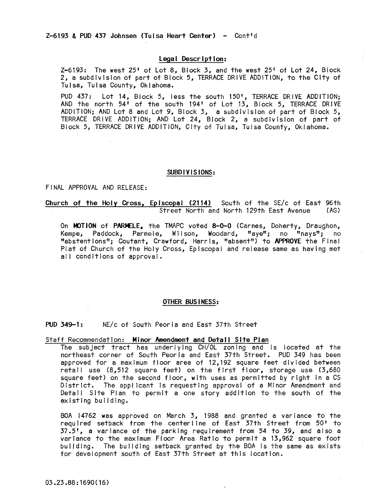## Legal Description:

Z-6193: The west 25' of Lot 8, Block 3, and the west 25' of Lot 24, Block 2, a subdivision of part of Block 5, TERRACE DRIVE ADDITION, to the City of Tulsa, Tulsa County, Oklahoma.

PUD 437: Lot 14, Block 5, less the south 150', TERRACE DRIVE ADDITION; AND the north 54' of the south 194' of Lot 13, Block 5, TERRACE DRIVE ADDITION; AND Lot 8 and Lot 9, Block 3, a subdivision of part of Block 5, TERRACE DRIVE ADDITION; AND Lot 24, Block 2, a subdivision of part of Block 5, TERRACE DRIVE ADDITION, City of Tulsa, Tulsa County, Oklahoma.

#### SUBDIVISIONS:

#### FINAL APPROVAL AND RELEASE:

## Church of the Holy Cross, Episcopal (2114) South of the SE/c of East 96th<br>Street North and North 129th East Avenue (AG) Street North and North 129th East Avenue

On MOTION of PARMELE, the TMAPC voted 8-0-0 (Carnes, Doherty, Draughon, Kempe, Paddock, Parmele, Wilson, Woodard, "aye"; no "nays"; no "abstentions"; Coutant, Crawford, Harris, "absent") to APPROVE the Final Plat of Church of the Holy Cross, Episcopal and release same as having met all conditions of approval.

#### OTHER BUS I NESS:

### PUD 349-1: NE/c of South Peoria and East 37th Street

## Staff Recommendation: Minor Amendment and Detail Site Plan

The subject tract has underlyIng CH/OL zoning and Is located at the northeast corner of South Peoria and East 37th Street. PUD 349 has been approved for a maximum floor area of  $12,192$  square feet divided between retail use (8,512 square feet) on the first floor, storage use (3,680 square feet) on the second floor, with uses as permitted by right in a CS District. The applicant is requesting approval of a Minor Amendment and Detail Site Plan to permit a one story addition to the south of the existing building.

BOA 14762 was approved on March 3, 1988 and granted a variance to the required setback from the centerline of East 37th Street from 50' to 37.5', a variance of the parking requirement from 54 to 39, and also a variance to the maximum Floor Area Ratio to permit a 13,962 square foot building. The building setback granted by the BOA Is the same as exists for development south of East 37th Street at this location.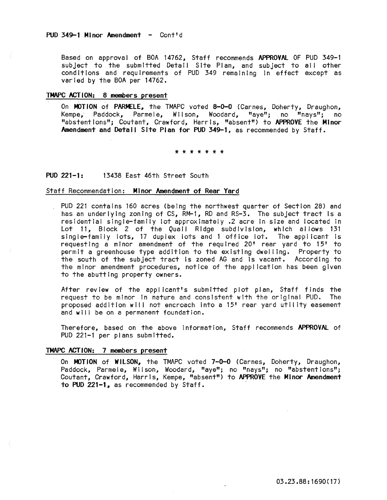Based on approval of BOA 14762, Staff recommends APPROVAL OF PUD 349-1 subject to the submitted Detail Site Plan, and subject to all other conditions and requirements of PUD 349 remaining in effect except as varied by the BOA per 14762.

### TMAPC ACTION: 8 members present

On MOTION of PARMELE, the TMAPC voted 8-0-0 (Carnes, Doherty, Draughon, Kempe. Paddock, Parmele. Wilson. Woodard. "ave": no "navs": no Kempe, Paddock, Parmele, Wilson, Woodard, "aye"; no "nays"; no "abstentions"; Coutant, Crawford, Harris, "absent") to APPROVE the Minor Amendment and Detatl Site Plan for PUD 349-1, as recommended by Staff.

#### \* \* \* \* \* \* \*

## PUD 221-1: 13438 East 46th Street South

#### Staff Recommendation: Minor Amendment of Rear Yard

PUD 221 contains 160 acres (being the northwest quarter of Section 28) and has an underlying zoning of CS, RM-1, RD and RS-3. The subject tract is a residential single-family lot approximately .2 acre in size and located In Lot 11, Block 2 of the Quail Ridge subdivision, which al lows 131 single-family lots, 17 duplex lots and i office iot. The appl icant <sup>15</sup> requesting a minor amendment of the required 20' rear yard to 15' to permit a greenhouse type addition to the existing dwelling. Property to the south of the subject tract Is zoned AG and Is vacant. According to the minor amendment procedures, notice of the appl ication has been given to the abutting property owners.

After review of the applicant's submitted plot plan, Staff finds the<br>request to be minor in nature and consistent with the original PUD. The request to be minor in nature and consistent with the original PUD. proposed addition will not encroach into a 15' rear yard utility easement and will be on a permanent foundation.

Therefore, based on the above Information. Staff recommends APPROVAL of PUD 221-1 per plans submitted.

## TMAPC ACTION: 7 members present

On MOTION of WILSON, the TMAPC voted 7-0-0 (Carnes, Doherty, Draughon, Paddock, Parmele, Wilson, Woodard, "aye"; no "nays"; no "abstentions"; Coutant, Crawford, Harris, Kempe, "absent") to APPROVE the Minor Amendment to PUD 221-1, as recommended by Staff. .